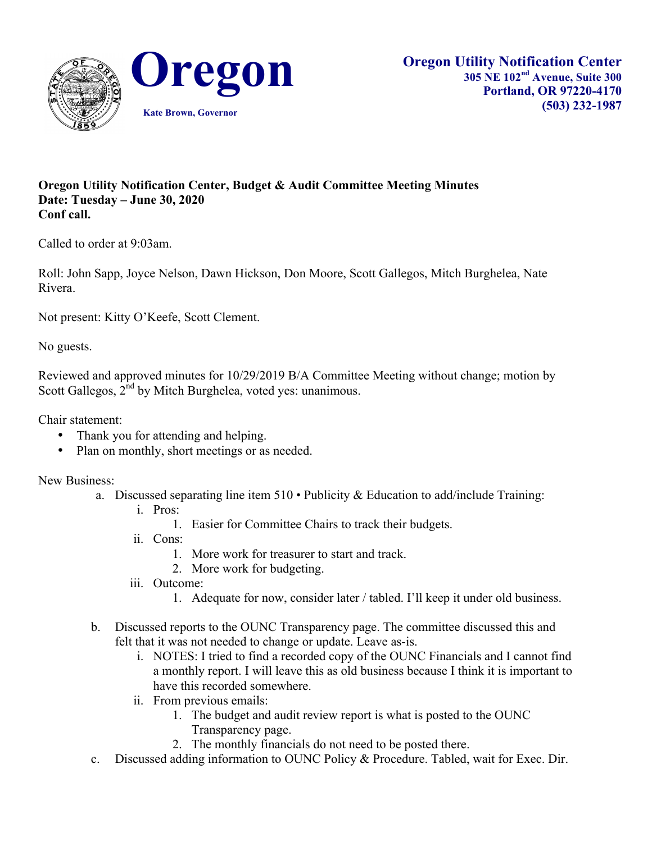

## **Oregon Utility Notification Center, Budget & Audit Committee Meeting Minutes Date: Tuesday – June 30, 2020 Conf call.**

Called to order at 9:03am.

Roll: John Sapp, Joyce Nelson, Dawn Hickson, Don Moore, Scott Gallegos, Mitch Burghelea, Nate Rivera.

Not present: Kitty O'Keefe, Scott Clement.

No guests.

Reviewed and approved minutes for 10/29/2019 B/A Committee Meeting without change; motion by Scott Gallegos,  $2<sup>nd</sup>$  by Mitch Burghelea, voted yes: unanimous.

Chair statement:

- Thank you for attending and helping.
- Plan on monthly, short meetings or as needed.

New Business:

- a. Discussed separating line item  $510 \cdot$  Publicity & Education to add/include Training:
	- i. Pros:
		- 1. Easier for Committee Chairs to track their budgets.
	- ii. Cons:
		- 1. More work for treasurer to start and track.
		- 2. More work for budgeting.
	- iii. Outcome:
		- 1. Adequate for now, consider later / tabled. I'll keep it under old business.
- b. Discussed reports to the OUNC Transparency page. The committee discussed this and felt that it was not needed to change or update. Leave as-is.
	- i. NOTES: I tried to find a recorded copy of the OUNC Financials and I cannot find a monthly report. I will leave this as old business because I think it is important to have this recorded somewhere.
	- ii. From previous emails:
		- 1. The budget and audit review report is what is posted to the OUNC Transparency page.
		- 2. The monthly financials do not need to be posted there.
- c. Discussed adding information to OUNC Policy & Procedure. Tabled, wait for Exec. Dir.